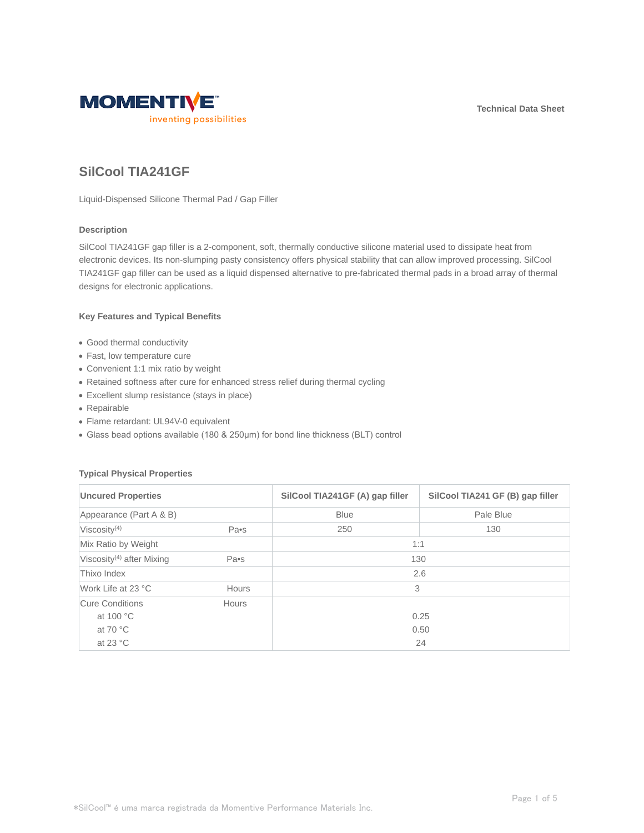**Technical Data Sheet**



# **SilCool TIA241GF**

Liquid-Dispensed Silicone Thermal Pad / Gap Filler

## **Description**

SilCool TIA241GF gap filler is a 2-component, soft, thermally conductive silicone material used to dissipate heat from electronic devices. Its non-slumping pasty consistency offers physical stability that can allow improved processing. SilCool TIA241GF gap filler can be used as a liquid dispensed alternative to pre-fabricated thermal pads in a broad array of thermal designs for electronic applications.

## **Key Features and Typical Benefits**

- Good thermal conductivity
- Fast, low temperature cure
- Convenient 1:1 mix ratio by weight
- Retained softness after cure for enhanced stress relief during thermal cycling
- Excellent slump resistance (stays in place)
- Repairable
- Flame retardant: UL94V-0 equivalent
- Glass bead options available (180 & 250μm) for bond line thickness (BLT) control

## **Typical Physical Properties**

| <b>Uncured Properties</b><br>Appearance (Part A & B) |              | SilCool TIA241GF (A) gap filler<br><b>Blue</b> | SilCool TIA241 GF (B) gap filler<br>Pale Blue |                          |
|------------------------------------------------------|--------------|------------------------------------------------|-----------------------------------------------|--------------------------|
|                                                      |              |                                                |                                               | Viscosity <sup>(4)</sup> |
| Mix Ratio by Weight                                  |              | 1:1                                            |                                               |                          |
| Viscosity <sup>(4)</sup> after Mixing                | Pa•s         | 130                                            |                                               |                          |
| Thixo Index                                          |              |                                                | 2.6                                           |                          |
| Work Life at 23 °C                                   | <b>Hours</b> | 3                                              |                                               |                          |
| Cure Conditions                                      | Hours        |                                                |                                               |                          |
| at 100 °C                                            |              |                                                | 0.25                                          |                          |
| at 70 $\degree$ C                                    |              |                                                | 0.50                                          |                          |
| at 23 $\degree$ C                                    |              |                                                | 24                                            |                          |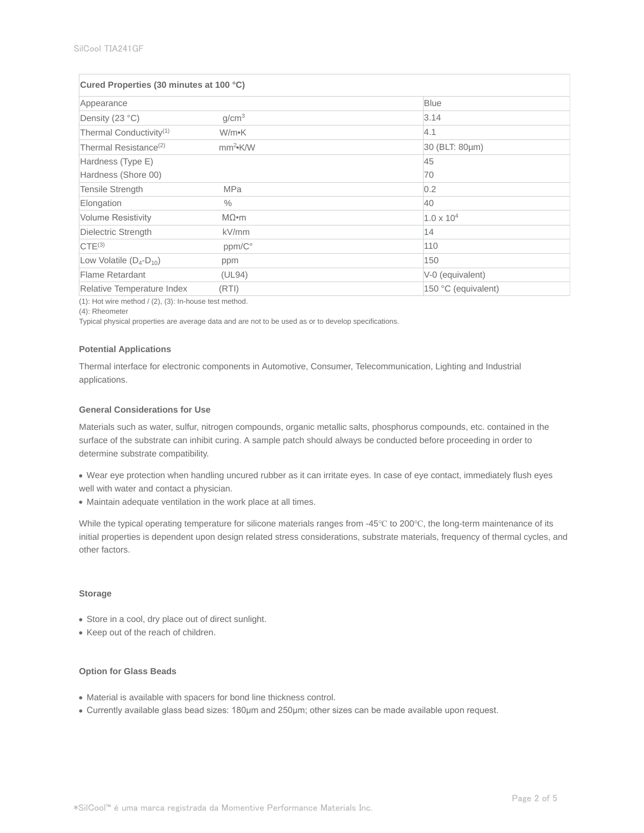| Cured Properties (30 minutes at 100 °C) |                   |                     |  |  |
|-----------------------------------------|-------------------|---------------------|--|--|
| Appearance                              |                   | <b>Blue</b>         |  |  |
| Density (23 °C)                         | q/cm <sup>3</sup> | 3.14                |  |  |
| Thermal Conductivity <sup>(1)</sup>     | W/m•K             | 4.1                 |  |  |
| Thermal Resistance <sup>(2)</sup>       | $mm^2$ K/W        | 30 (BLT: 80µm)      |  |  |
| Hardness (Type E)                       |                   | 45                  |  |  |
| Hardness (Shore 00)                     |                   | 70                  |  |  |
| Tensile Strength                        | <b>MPa</b>        | 0.2                 |  |  |
| Elongation                              | $\frac{0}{0}$     | 40                  |  |  |
| <b>Volume Resistivity</b>               | $M\Omega$ •m      | $1.0 \times 10^{4}$ |  |  |
| Dielectric Strength                     | kV/mm             | 14                  |  |  |
| CTE <sup>(3)</sup>                      | ppm/C°            | 110                 |  |  |
| Low Volatile $(D_4-D_{10})$             | ppm               | 150                 |  |  |
| Flame Retardant                         | (UL94)            | V-0 (equivalent)    |  |  |
| Relative Temperature Index              | (RTI)             | 150 °C (equivalent) |  |  |

 $(1)$ : Hot wire method /  $(2)$ ,  $(3)$ : In-house test method.

(4): Rheometer

Typical physical properties are average data and are not to be used as or to develop specifications.

#### **Potential Applications**

Thermal interface for electronic components in Automotive, Consumer, Telecommunication, Lighting and Industrial applications.

## **General Considerations for Use**

Materials such as water, sulfur, nitrogen compounds, organic metallic salts, phosphorus compounds, etc. contained in the surface of the substrate can inhibit curing. A sample patch should always be conducted before proceeding in order to determine substrate compatibility.

- Wear eye protection when handling uncured rubber as it can irritate eyes. In case of eye contact, immediately flush eyes well with water and contact a physician.
- Maintain adequate ventilation in the work place at all times.

While the typical operating temperature for silicone materials ranges from -45℃ to 200℃, the long-term maintenance of its initial properties is dependent upon design related stress considerations, substrate materials, frequency of thermal cycles, and other factors.

#### **Storage**

- Store in a cool, dry place out of direct sunlight.
- Keep out of the reach of children.

## **Option for Glass Beads**

- Material is available with spacers for bond line thickness control.
- Currently available glass bead sizes: 180μm and 250μm; other sizes can be made available upon request.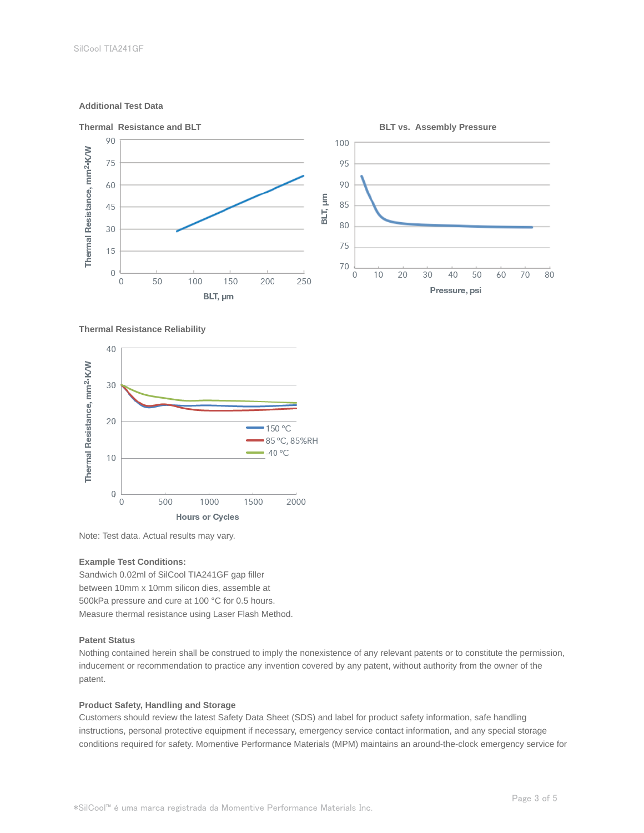## **Additional Test Data**



#### **Thermal Resistance Reliability**



Note: Test data. Actual results may vary.

### **Example Test Conditions:**

Sandwich 0.02ml of SilCool TIA241GF gap filler between 10mm x 10mm silicon dies, assemble at 500kPa pressure and cure at 100 °C for 0.5 hours. Measure thermal resistance using Laser Flash Method.

### **Patent Status**

Nothing contained herein shall be construed to imply the nonexistence of any relevant patents or to constitute the permission, inducement or recommendation to practice any invention covered by any patent, without authority from the owner of the patent.

## **Product Safety, Handling and Storage**

Customers should review the latest Safety Data Sheet (SDS) and label for product safety information, safe handling instructions, personal protective equipment if necessary, emergency service contact information, and any special storage conditions required for safety. Momentive Performance Materials (MPM) maintains an around-the-clock emergency service for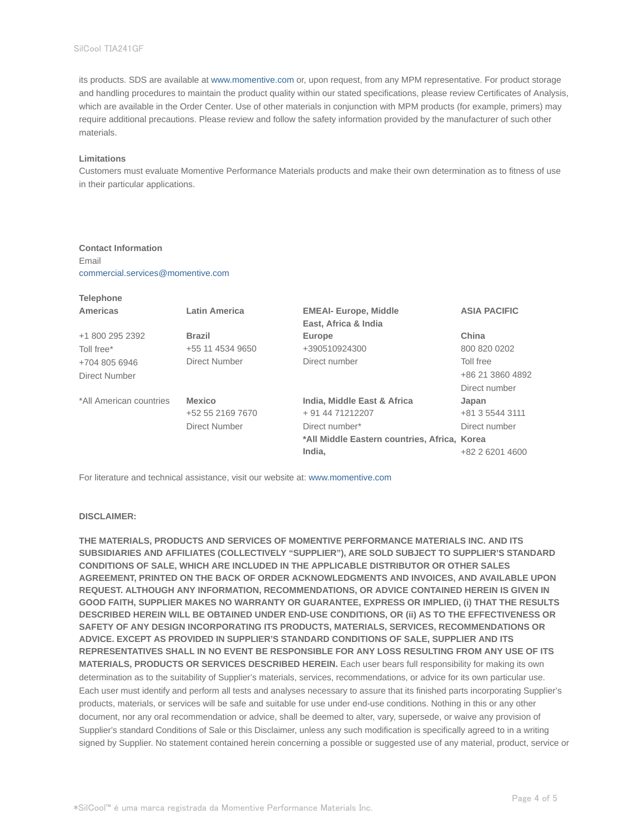its products. SDS are available at www.momentive.com or, upon request, from any MPM representative. For product storage and handling procedures to maintain the product quality within our stated specifications, please review Certificates of Analysis, which are available in the Order Center. Use of other materials in conjunction with MPM products (for example, primers) may require additional precautions. Please review and follow the safety information provided by the manufacturer of such other materials.

#### **Limitations**

**Telephone**

Customers must evaluate Momentive Performance Materials products and make their own determination as to fitness of use in their particular applications.

## **Contact Information**

Email commercial.services@momentive.com

| <b>Telephone</b>        |                      |                                              |                     |
|-------------------------|----------------------|----------------------------------------------|---------------------|
| Americas                | <b>Latin America</b> | <b>EMEAI- Europe, Middle</b>                 | <b>ASIA PACIFIC</b> |
|                         |                      | East, Africa & India                         |                     |
| +1 800 295 2392         | <b>Brazil</b>        | Europe                                       | China               |
| Toll free*              | +55 11 4534 9650     | +390510924300                                | 800 820 0202        |
| +704 805 6946           | Direct Number        | Direct number                                | Toll free           |
| Direct Number           |                      |                                              | +86 21 3860 4892    |
|                         |                      |                                              | Direct number       |
| *All American countries | <b>Mexico</b>        | India, Middle East & Africa                  | Japan               |
|                         | +52 55 2169 7670     | + 91 44 71212207                             | +81 3 5544 3111     |
|                         | Direct Number        | Direct number*                               | Direct number       |
|                         |                      | *All Middle Eastern countries, Africa, Korea |                     |
|                         |                      | India.                                       | +82 2 6201 4600     |

For literature and technical assistance, visit our website at: www.momentive.com

#### **DISCLAIMER:**

**THE MATERIALS, PRODUCTS AND SERVICES OF MOMENTIVE PERFORMANCE MATERIALS INC. AND ITS SUBSIDIARIES AND AFFILIATES (COLLECTIVELY "SUPPLIER"), ARE SOLD SUBJECT TO SUPPLIER'S STANDARD CONDITIONS OF SALE, WHICH ARE INCLUDED IN THE APPLICABLE DISTRIBUTOR OR OTHER SALES AGREEMENT, PRINTED ON THE BACK OF ORDER ACKNOWLEDGMENTS AND INVOICES, AND AVAILABLE UPON REQUEST. ALTHOUGH ANY INFORMATION, RECOMMENDATIONS, OR ADVICE CONTAINED HEREIN IS GIVEN IN GOOD FAITH, SUPPLIER MAKES NO WARRANTY OR GUARANTEE, EXPRESS OR IMPLIED, (i) THAT THE RESULTS DESCRIBED HEREIN WILL BE OBTAINED UNDER END-USE CONDITIONS, OR (ii) AS TO THE EFFECTIVENESS OR SAFETY OF ANY DESIGN INCORPORATING ITS PRODUCTS, MATERIALS, SERVICES, RECOMMENDATIONS OR ADVICE. EXCEPT AS PROVIDED IN SUPPLIER'S STANDARD CONDITIONS OF SALE, SUPPLIER AND ITS REPRESENTATIVES SHALL IN NO EVENT BE RESPONSIBLE FOR ANY LOSS RESULTING FROM ANY USE OF ITS MATERIALS, PRODUCTS OR SERVICES DESCRIBED HEREIN.** Each user bears full responsibility for making its own determination as to the suitability of Supplier's materials, services, recommendations, or advice for its own particular use. Each user must identify and perform all tests and analyses necessary to assure that its finished parts incorporating Supplier's products, materials, or services will be safe and suitable for use under end-use conditions. Nothing in this or any other document, nor any oral recommendation or advice, shall be deemed to alter, vary, supersede, or waive any provision of Supplier's standard Conditions of Sale or this Disclaimer, unless any such modification is specifically agreed to in a writing signed by Supplier. No statement contained herein concerning a possible or suggested use of any material, product, service or